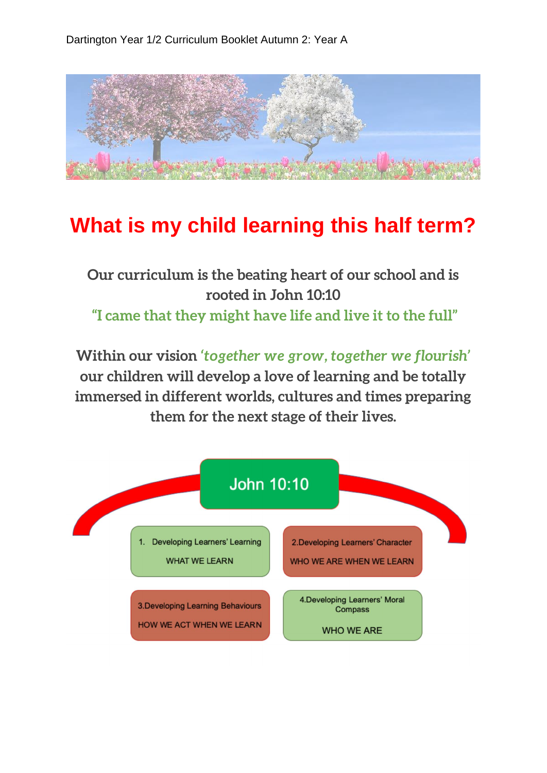

## **What is my child learning this half term?**

## **Our curriculum is the beating heart of our school and is rooted in John 10:10 "I came that they might have life and live it to the full"**

**Within our vision** *'together we grow, together we flourish'*  **our children will develop a love of learning and be totally immersed in different worlds, cultures and times preparing them for the next stage of their lives.**

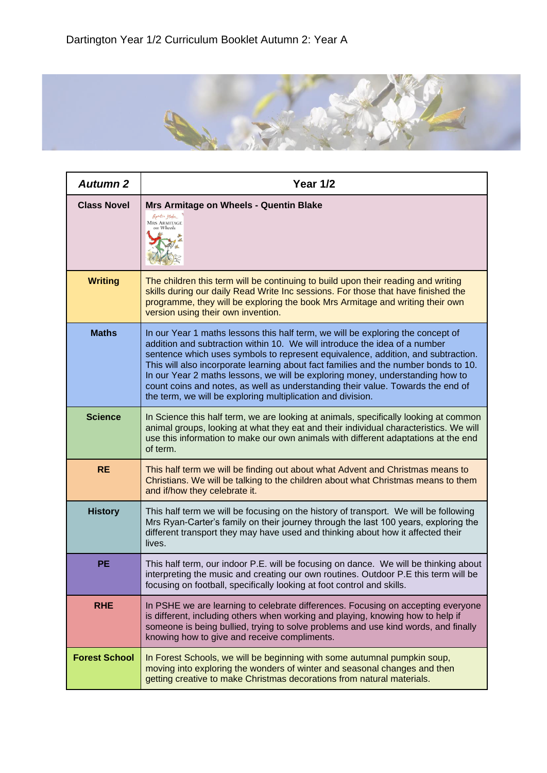

| <b>Autumn 2</b>      | <b>Year 1/2</b>                                                                                                                                                                                                                                                                                                                                                                                                                                                                                                                                                             |
|----------------------|-----------------------------------------------------------------------------------------------------------------------------------------------------------------------------------------------------------------------------------------------------------------------------------------------------------------------------------------------------------------------------------------------------------------------------------------------------------------------------------------------------------------------------------------------------------------------------|
| <b>Class Novel</b>   | Mrs Armitage on Wheels - Quentin Blake<br>Question Blake<br><b>MRS ARMITAGE</b><br>on Wheels                                                                                                                                                                                                                                                                                                                                                                                                                                                                                |
| <b>Writing</b>       | The children this term will be continuing to build upon their reading and writing<br>skills during our daily Read Write Inc sessions. For those that have finished the<br>programme, they will be exploring the book Mrs Armitage and writing their own<br>version using their own invention.                                                                                                                                                                                                                                                                               |
| <b>Maths</b>         | In our Year 1 maths lessons this half term, we will be exploring the concept of<br>addition and subtraction within 10. We will introduce the idea of a number<br>sentence which uses symbols to represent equivalence, addition, and subtraction.<br>This will also incorporate learning about fact families and the number bonds to 10.<br>In our Year 2 maths lessons, we will be exploring money, understanding how to<br>count coins and notes, as well as understanding their value. Towards the end of<br>the term, we will be exploring multiplication and division. |
| <b>Science</b>       | In Science this half term, we are looking at animals, specifically looking at common<br>animal groups, looking at what they eat and their individual characteristics. We will<br>use this information to make our own animals with different adaptations at the end<br>of term.                                                                                                                                                                                                                                                                                             |
| <b>RE</b>            | This half term we will be finding out about what Advent and Christmas means to<br>Christians. We will be talking to the children about what Christmas means to them<br>and if/how they celebrate it.                                                                                                                                                                                                                                                                                                                                                                        |
| <b>History</b>       | This half term we will be focusing on the history of transport. We will be following<br>Mrs Ryan-Carter's family on their journey through the last 100 years, exploring the<br>different transport they may have used and thinking about how it affected their<br>lives.                                                                                                                                                                                                                                                                                                    |
| <b>PE</b>            | This half term, our indoor P.E. will be focusing on dance. We will be thinking about<br>interpreting the music and creating our own routines. Outdoor P.E this term will be<br>focusing on football, specifically looking at foot control and skills.                                                                                                                                                                                                                                                                                                                       |
| <b>RHE</b>           | In PSHE we are learning to celebrate differences. Focusing on accepting everyone<br>is different, including others when working and playing, knowing how to help if<br>someone is being bullied, trying to solve problems and use kind words, and finally<br>knowing how to give and receive compliments.                                                                                                                                                                                                                                                                   |
| <b>Forest School</b> | In Forest Schools, we will be beginning with some autumnal pumpkin soup,<br>moving into exploring the wonders of winter and seasonal changes and then<br>getting creative to make Christmas decorations from natural materials.                                                                                                                                                                                                                                                                                                                                             |